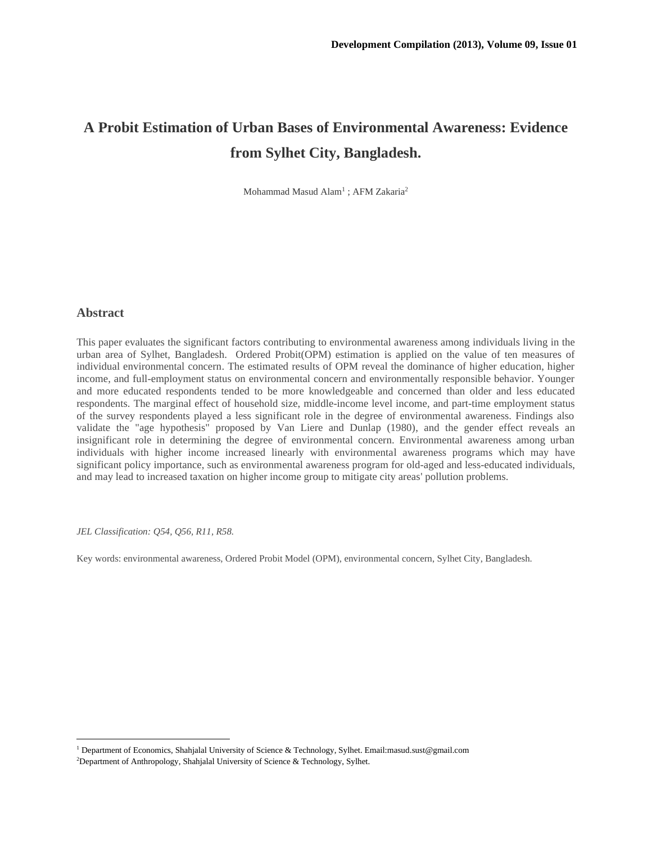# **A Probit Estimation of Urban Bases of Environmental Awareness: Evidence from Sylhet City, Bangladesh.**

Mohammad Masud Alam<sup>1</sup>; AFM Zakaria<sup>2</sup>

### **Abstract**

This paper evaluates the significant factors contributing to environmental awareness among individuals living in the urban area of Sylhet, Bangladesh. Ordered Probit(OPM) estimation is applied on the value of ten measures of individual environmental concern. The estimated results of OPM reveal the dominance of higher education, higher income, and full-employment status on environmental concern and environmentally responsible behavior. Younger and more educated respondents tended to be more knowledgeable and concerned than older and less educated respondents. The marginal effect of household size, middle-income level income, and part-time employment status of the survey respondents played a less significant role in the degree of environmental awareness. Findings also validate the "age hypothesis" proposed by Van Liere and Dunlap (1980), and the gender effect reveals an insignificant role in determining the degree of environmental concern. Environmental awareness among urban individuals with higher income increased linearly with environmental awareness programs which may have significant policy importance, such as environmental awareness program for old-aged and less-educated individuals, and may lead to increased taxation on higher income group to mitigate city areas' pollution problems.

*JEL Classification: Q54, Q56, R11, R58.*

Key words: environmental awareness, Ordered Probit Model (OPM), environmental concern, Sylhet City, Bangladesh.

<sup>1</sup> Department of Economics, Shahjalal University of Science & Technology, Sylhet. Email:masud.sust@gmail.com

<sup>2</sup>Department of Anthropology, Shahjalal University of Science & Technology, Sylhet.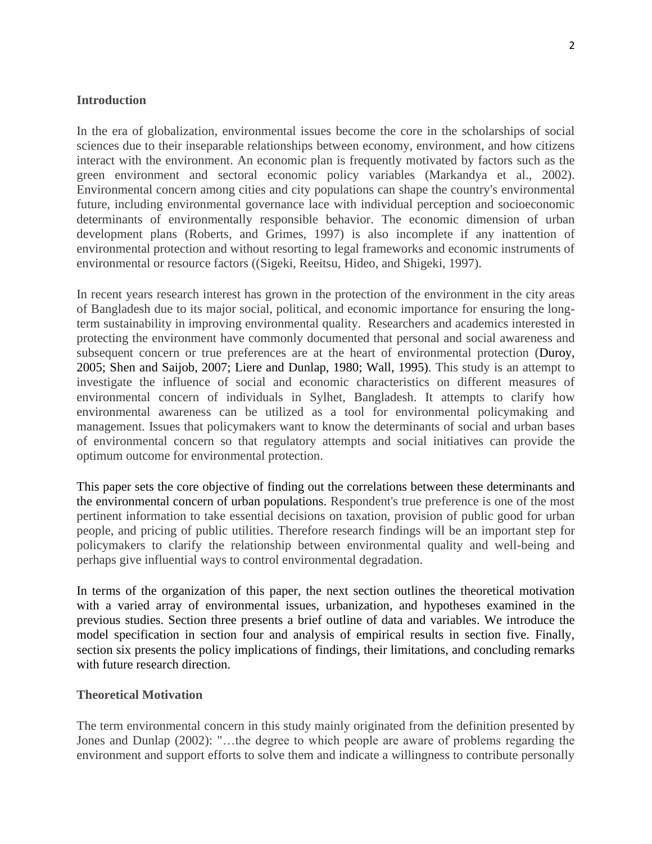# **Introduction**

In the era of globalization, environmental issues become the core in the scholarships of social sciences due to their inseparable relationships between economy, environment, and how citizens interact with the environment. An economic plan is frequently motivated by factors such as the green environment and sectoral economic policy variables (Markandya et al., 2002). Environmental concern among cities and city populations can shape the country's environmental future, including environmental governance lace with individual perception and socioeconomic determinants of environmentally responsible behavior. The economic dimension of urban development plans (Roberts, and Grimes, 1997) is also incomplete if any inattention of environmental protection and without resorting to legal frameworks and economic instruments of environmental or resource factors ((Sigeki, Reeitsu, Hideo, and Shigeki, 1997).

In recent years research interest has grown in the protection of the environment in the city areas of Bangladesh due to its major social, political, and economic importance for ensuring the longterm sustainability in improving environmental quality. Researchers and academics interested in protecting the environment have commonly documented that personal and social awareness and subsequent concern or true preferences are at the heart of environmental protection (Duroy, 2005; Shen and Saijob, 2007; Liere and Dunlap, 1980; Wall, 1995). This study is an attempt to investigate the influence of social and economic characteristics on different measures of environmental concern of individuals in Sylhet, Bangladesh. It attempts to clarify how environmental awareness can be utilized as a tool for environmental policymaking and management. Issues that policymakers want to know the determinants of social and urban bases of environmental concern so that regulatory attempts and social initiatives can provide the optimum outcome for environmental protection.

This paper sets the core objective of finding out the correlations between these determinants and the environmental concern of urban populations. Respondent's true preference is one of the most pertinent information to take essential decisions on taxation, provision of public good for urban people, and pricing of public utilities. Therefore research findings will be an important step for policymakers to clarify the relationship between environmental quality and well-being and perhaps give influential ways to control environmental degradation.

In terms of the organization of this paper, the next section outlines the theoretical motivation with a varied array of environmental issues, urbanization, and hypotheses examined in the previous studies. Section three presents a brief outline of data and variables. We introduce the model specification in section four and analysis of empirical results in section five. Finally, section six presents the policy implications of findings, their limitations, and concluding remarks with future research direction.

### **Theoretical Motivation**

The term environmental concern in this study mainly originated from the definition presented by Jones and Dunlap (2002): "…the degree to which people are aware of problems regarding the environment and support efforts to solve them and indicate a willingness to contribute personally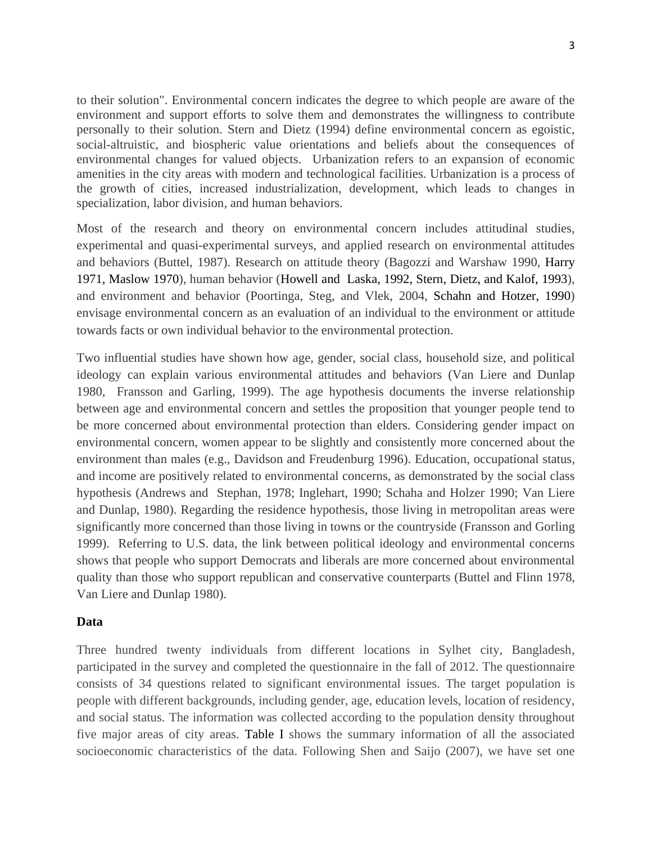to their solution". Environmental concern indicates the degree to which people are aware of the environment and support efforts to solve them and demonstrates the willingness to contribute personally to their solution. Stern and Dietz (1994) define environmental concern as egoistic, social-altruistic, and biospheric value orientations and beliefs about the consequences of environmental changes for valued objects. Urbanization refers to an expansion of economic amenities in the city areas with modern and technological facilities. Urbanization is a process of the growth of cities, increased industrialization, development, which leads to changes in specialization, labor division, and human behaviors.

Most of the research and theory on environmental concern includes attitudinal studies, experimental and quasi-experimental surveys, and applied research on environmental attitudes and behaviors (Buttel, 1987). Research on attitude theory (Bagozzi and Warshaw 1990, Harry 1971, Maslow 1970), human behavior (Howell and Laska, 1992, Stern, Dietz, and Kalof, 1993), and environment and behavior (Poortinga, Steg, and Vlek, 2004, Schahn and Hotzer, 1990) envisage environmental concern as an evaluation of an individual to the environment or attitude towards facts or own individual behavior to the environmental protection.

Two influential studies have shown how age, gender, social class, household size, and political ideology can explain various environmental attitudes and behaviors (Van Liere and Dunlap 1980, Fransson and Garling, 1999). The age hypothesis documents the inverse relationship between age and environmental concern and settles the proposition that younger people tend to be more concerned about environmental protection than elders. Considering gender impact on environmental concern, women appear to be slightly and consistently more concerned about the environment than males (e.g., Davidson and Freudenburg 1996). Education, occupational status, and income are positively related to environmental concerns, as demonstrated by the social class hypothesis (Andrews and Stephan, 1978; Inglehart, 1990; Schaha and Holzer 1990; Van Liere and Dunlap, 1980). Regarding the residence hypothesis, those living in metropolitan areas were significantly more concerned than those living in towns or the countryside (Fransson and Gorling 1999). Referring to U.S. data, the link between political ideology and environmental concerns shows that people who support Democrats and liberals are more concerned about environmental quality than those who support republican and conservative counterparts (Buttel and Flinn 1978, Van Liere and Dunlap 1980).

# **Data**

Three hundred twenty individuals from different locations in Sylhet city, Bangladesh, participated in the survey and completed the questionnaire in the fall of 2012. The questionnaire consists of 34 questions related to significant environmental issues. The target population is people with different backgrounds, including gender, age, education levels, location of residency, and social status. The information was collected according to the population density throughout five major areas of city areas. Table I shows the summary information of all the associated socioeconomic characteristics of the data. Following Shen and Saijo (2007), we have set one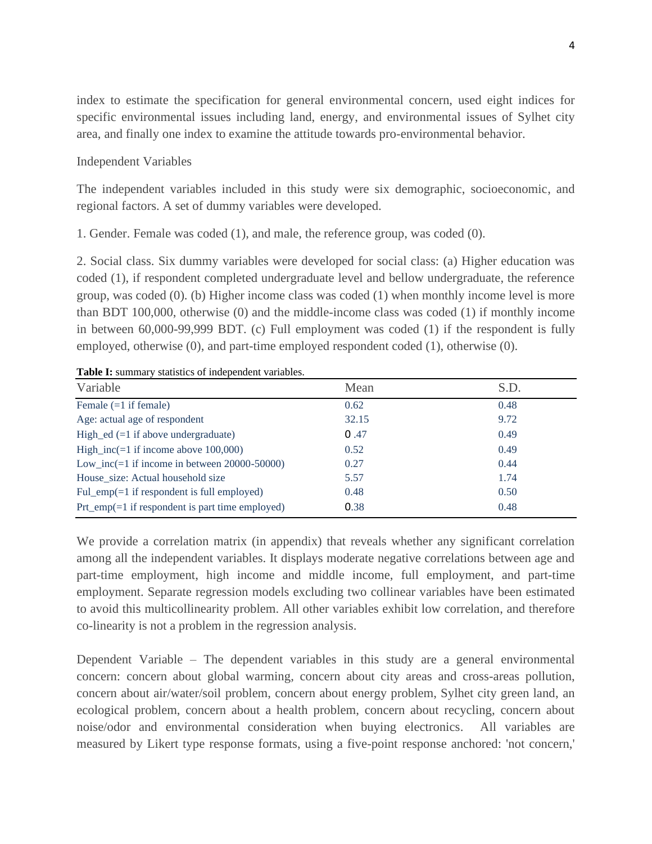index to estimate the specification for general environmental concern, used eight indices for specific environmental issues including land, energy, and environmental issues of Sylhet city area, and finally one index to examine the attitude towards pro-environmental behavior.

# Independent Variables

The independent variables included in this study were six demographic, socioeconomic, and regional factors. A set of dummy variables were developed.

1. Gender. Female was coded (1), and male, the reference group, was coded (0).

2. Social class. Six dummy variables were developed for social class: (a) Higher education was coded (1), if respondent completed undergraduate level and bellow undergraduate, the reference group, was coded (0). (b) Higher income class was coded (1) when monthly income level is more than BDT 100,000, otherwise (0) and the middle-income class was coded (1) if monthly income in between 60,000-99,999 BDT. (c) Full employment was coded (1) if the respondent is fully employed, otherwise (0), and part-time employed respondent coded (1), otherwise (0).

| Table I: summary statistics of independent variables. |
|-------------------------------------------------------|
|                                                       |

| Variable                                              | Mean  | S.D. |
|-------------------------------------------------------|-------|------|
| Female $(=1$ if female)                               | 0.62  | 0.48 |
| Age: actual age of respondent                         | 32.15 | 9.72 |
| High_ed $(=1$ if above undergraduate)                 | 0.47  | 0.49 |
| High inc( $=1$ if income above 100,000)               | 0.52  | 0.49 |
| Low_inc(=1 if income in between $20000-50000$ )       | 0.27  | 0.44 |
| House size: Actual household size                     | 5.57  | 1.74 |
| Ful_emp $(=1$ if respondent is full employed)         | 0.48  | 0.50 |
| $Pr1_{emp} (= 1$ if respondent is part time employed) | 0.38  | 0.48 |

We provide a correlation matrix (in appendix) that reveals whether any significant correlation among all the independent variables. It displays moderate negative correlations between age and part-time employment, high income and middle income, full employment, and part-time employment. Separate regression models excluding two collinear variables have been estimated to avoid this multicollinearity problem. All other variables exhibit low correlation, and therefore co-linearity is not a problem in the regression analysis.

Dependent Variable – The dependent variables in this study are a general environmental concern: concern about global warming, concern about city areas and cross-areas pollution, concern about air/water/soil problem, concern about energy problem, Sylhet city green land, an ecological problem, concern about a health problem, concern about recycling, concern about noise/odor and environmental consideration when buying electronics. All variables are measured by Likert type response formats, using a five-point response anchored: 'not concern,'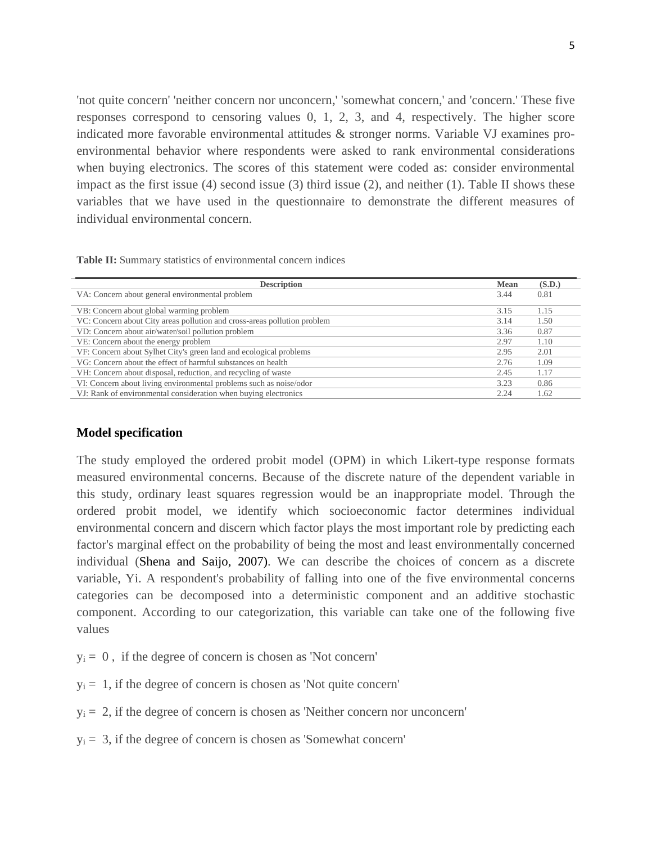'not quite concern' 'neither concern nor unconcern,' 'somewhat concern,' and 'concern.' These five responses correspond to censoring values 0, 1, 2, 3, and 4, respectively. The higher score indicated more favorable environmental attitudes & stronger norms. Variable VJ examines proenvironmental behavior where respondents were asked to rank environmental considerations when buying electronics. The scores of this statement were coded as: consider environmental impact as the first issue (4) second issue (3) third issue (2), and neither (1). Table II shows these variables that we have used in the questionnaire to demonstrate the different measures of individual environmental concern.

**Table II:** Summary statistics of environmental concern indices

| <b>Description</b>                                                       | <b>Mean</b> | (S.D.) |
|--------------------------------------------------------------------------|-------------|--------|
| VA: Concern about general environmental problem                          | 3.44        | 0.81   |
| VB: Concern about global warming problem                                 | 3.15        | 1.15   |
| VC: Concern about City areas pollution and cross-areas pollution problem | 3.14        | 1.50   |
| VD: Concern about air/water/soil pollution problem                       | 3.36        | 0.87   |
| VE: Concern about the energy problem                                     | 2.97        | 1.10   |
| VF: Concern about Sylhet City's green land and ecological problems       | 2.95        | 2.01   |
| VG: Concern about the effect of harmful substances on health             | 2.76        | 1.09   |
| VH: Concern about disposal, reduction, and recycling of waste            | 2.45        | 1.17   |
| VI: Concern about living environmental problems such as noise/odor       | 3.23        | 0.86   |
| VJ: Rank of environmental consideration when buying electronics          | 2.24        | 1.62   |

# **Model specification**

The study employed the ordered probit model (OPM) in which Likert-type response formats measured environmental concerns. Because of the discrete nature of the dependent variable in this study, ordinary least squares regression would be an inappropriate model. Through the ordered probit model, we identify which socioeconomic factor determines individual environmental concern and discern which factor plays the most important role by predicting each factor's marginal effect on the probability of being the most and least environmentally concerned individual (Shena and Saijo, 2007). We can describe the choices of concern as a discrete variable, Yi. A respondent's probability of falling into one of the five environmental concerns categories can be decomposed into a deterministic component and an additive stochastic component. According to our categorization, this variable can take one of the following five values

 $y_i = 0$ , if the degree of concern is chosen as 'Not concern'

 $y_i = 1$ , if the degree of concern is chosen as 'Not quite concern'

- $y_i = 2$ , if the degree of concern is chosen as 'Neither concern nor unconcern'
- $y_i = 3$ , if the degree of concern is chosen as 'Somewhat concern'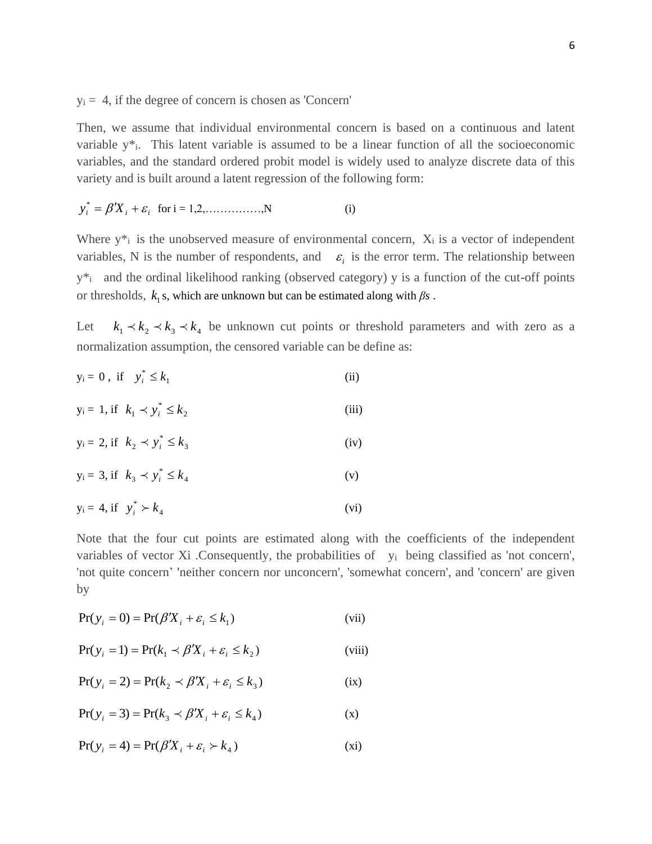$y_i = 4$ , if the degree of concern is chosen as 'Concern'

Then, we assume that individual environmental concern is based on a continuous and latent variable y\*i. This latent variable is assumed to be a linear function of all the socioeconomic variables, and the standard ordered probit model is widely used to analyze discrete data of this variety and is built around a latent regression of the following form:

$$
y_i^* = \beta' X_i + \varepsilon_i \text{ for } i = 1, 2, \dots, N \tag{i}
$$

Where  $y^*$  is the unobserved measure of environmental concern,  $X_i$  is a vector of independent variables, N is the number of respondents, and  $\varepsilon_i$  is the error term. The relationship between y\*i and the ordinal likelihood ranking (observed category) y is a function of the cut-off points or thresholds,  $k_1$ s, which are unknown but can be estimated along with  $\beta s$ .

Let  $k_1 \lt k_2 \lt k_3 \lt k_4$  be unknown cut points or threshold parameters and with zero as a normalization assumption, the censored variable can be define as:

$$
y_i = 0, \text{ if } y_i^* \le k_1 \tag{ii}
$$

$$
y_i = 1, \text{ if } k_1 \prec y_i^* \le k_2 \tag{iii}
$$

$$
y_i = 2, \text{if } k_2 \prec y_i^* \le k_3 \tag{iv}
$$

$$
y_i = 3, \text{ if } k_3 \prec y_i^* \le k_4 \tag{v}
$$

$$
y_i = 4, \text{ if } y_i^* \succ k_4 \tag{vi}
$$

Note that the four cut points are estimated along with the coefficients of the independent variables of vector Xi .Consequently, the probabilities of y<sub>i</sub> being classified as 'not concern', 'not quite concern' 'neither concern nor unconcern', 'somewhat concern', and 'concern' are given by

$$
Pr(y_i = 0) = Pr(\beta' X_i + \varepsilon_i \le k_1)
$$
 (vii)

$$
Pr(y_i = 1) = Pr(k_1 \prec \beta' X_i + \varepsilon_i \le k_2)
$$
 (viii)

$$
Pr(y_i = 2) = Pr(k_2 \prec \beta' X_i + \varepsilon_i \le k_3)
$$
 (ix)

$$
Pr(y_i = 3) = Pr(k_3 \prec \beta' X_i + \varepsilon_i \le k_4)
$$
 (x)

$$
Pr(y_i = 4) = Pr(\beta' X_i + \varepsilon_i > k_4)
$$
 (xi)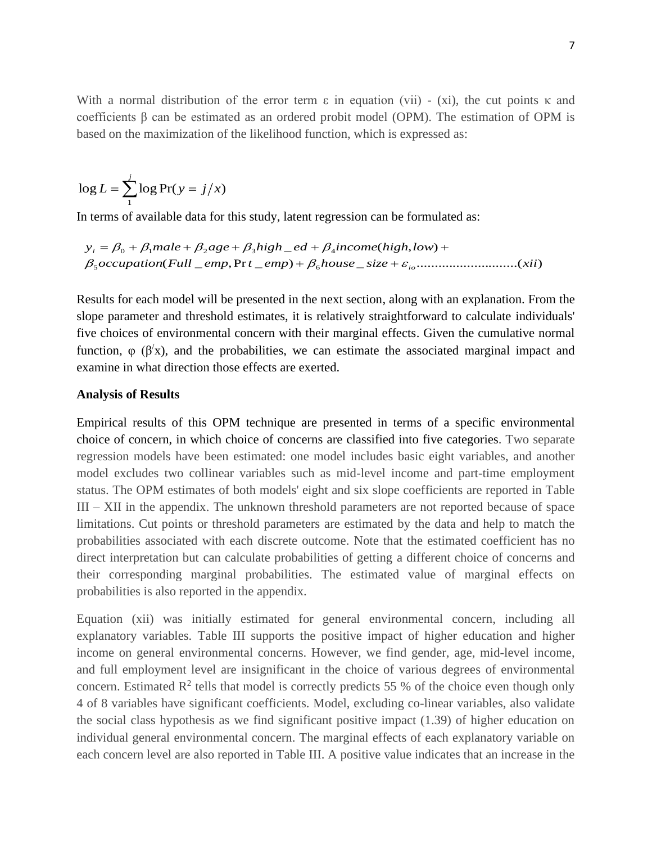With a normal distribution of the error term  $\varepsilon$  in equation (vii) - (xi), the cut points  $\kappa$  and coefficients β can be estimated as an ordered probit model (OPM). The estimation of OPM is based on the maximization of the likelihood function, which is expressed as:

$$
\log L = \sum_{1}^{j} \log \Pr(y = j/x)
$$

In terms of available data for this study, latent regression can be formulated as:

$$
y_i = \beta_0 + \beta_1 male + \beta_2 age + \beta_3 high\_ed + \beta_4 income(high, low) +
$$
  

$$
\beta_5 occupation(Full\_emp, Prt\_emp) + \beta_6 house\_size + \varepsilon_{io}.................(xii)
$$

Results for each model will be presented in the next section, along with an explanation. From the slope parameter and threshold estimates, it is relatively straightforward to calculate individuals' five choices of environmental concern with their marginal effects. Given the cumulative normal function,  $\varphi$  ( $\beta'$ x), and the probabilities, we can estimate the associated marginal impact and examine in what direction those effects are exerted.

# **Analysis of Results**

Empirical results of this OPM technique are presented in terms of a specific environmental choice of concern, in which choice of concerns are classified into five categories. Two separate regression models have been estimated: one model includes basic eight variables, and another model excludes two collinear variables such as mid-level income and part-time employment status. The OPM estimates of both models' eight and six slope coefficients are reported in Table III – XII in the appendix. The unknown threshold parameters are not reported because of space limitations. Cut points or threshold parameters are estimated by the data and help to match the probabilities associated with each discrete outcome. Note that the estimated coefficient has no direct interpretation but can calculate probabilities of getting a different choice of concerns and their corresponding marginal probabilities. The estimated value of marginal effects on probabilities is also reported in the appendix.

Equation (xii) was initially estimated for general environmental concern, including all explanatory variables. Table III supports the positive impact of higher education and higher income on general environmental concerns. However, we find gender, age, mid-level income, and full employment level are insignificant in the choice of various degrees of environmental concern. Estimated  $\mathbb{R}^2$  tells that model is correctly predicts 55 % of the choice even though only 4 of 8 variables have significant coefficients. Model, excluding co-linear variables, also validate the social class hypothesis as we find significant positive impact (1.39) of higher education on individual general environmental concern. The marginal effects of each explanatory variable on each concern level are also reported in Table III. A positive value indicates that an increase in the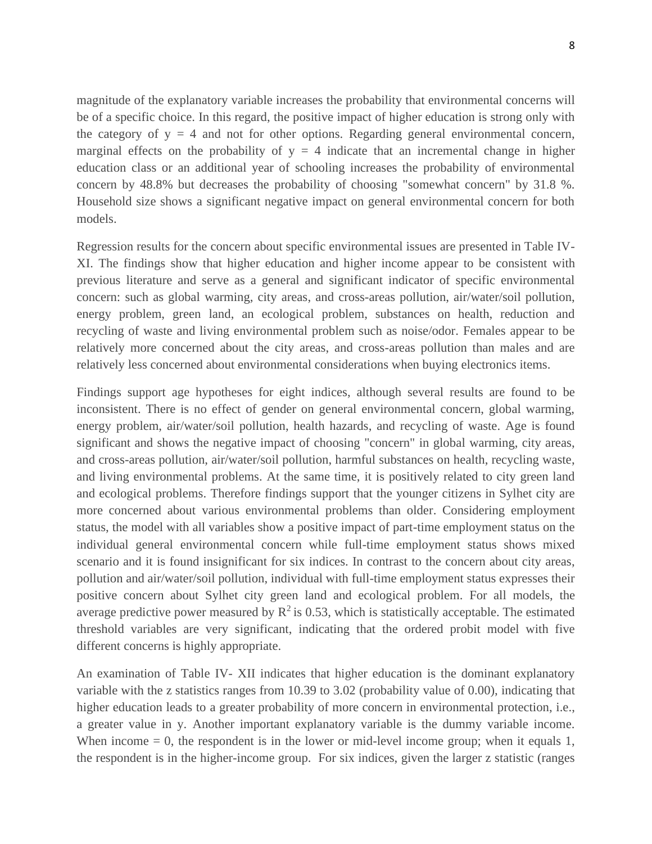magnitude of the explanatory variable increases the probability that environmental concerns will be of a specific choice. In this regard, the positive impact of higher education is strong only with the category of  $y = 4$  and not for other options. Regarding general environmental concern, marginal effects on the probability of  $y = 4$  indicate that an incremental change in higher education class or an additional year of schooling increases the probability of environmental concern by 48.8% but decreases the probability of choosing "somewhat concern" by 31.8 %. Household size shows a significant negative impact on general environmental concern for both models.

Regression results for the concern about specific environmental issues are presented in Table IV-XI. The findings show that higher education and higher income appear to be consistent with previous literature and serve as a general and significant indicator of specific environmental concern: such as global warming, city areas, and cross-areas pollution, air/water/soil pollution, energy problem, green land, an ecological problem, substances on health, reduction and recycling of waste and living environmental problem such as noise/odor. Females appear to be relatively more concerned about the city areas, and cross-areas pollution than males and are relatively less concerned about environmental considerations when buying electronics items.

Findings support age hypotheses for eight indices, although several results are found to be inconsistent. There is no effect of gender on general environmental concern, global warming, energy problem, air/water/soil pollution, health hazards, and recycling of waste. Age is found significant and shows the negative impact of choosing "concern" in global warming, city areas, and cross-areas pollution, air/water/soil pollution, harmful substances on health, recycling waste, and living environmental problems. At the same time, it is positively related to city green land and ecological problems. Therefore findings support that the younger citizens in Sylhet city are more concerned about various environmental problems than older. Considering employment status, the model with all variables show a positive impact of part-time employment status on the individual general environmental concern while full-time employment status shows mixed scenario and it is found insignificant for six indices. In contrast to the concern about city areas, pollution and air/water/soil pollution, individual with full-time employment status expresses their positive concern about Sylhet city green land and ecological problem. For all models, the average predictive power measured by  $R^2$  is 0.53, which is statistically acceptable. The estimated threshold variables are very significant, indicating that the ordered probit model with five different concerns is highly appropriate.

An examination of Table IV- XII indicates that higher education is the dominant explanatory variable with the z statistics ranges from 10.39 to 3.02 (probability value of 0.00), indicating that higher education leads to a greater probability of more concern in environmental protection, i.e., a greater value in y. Another important explanatory variable is the dummy variable income. When income  $= 0$ , the respondent is in the lower or mid-level income group; when it equals 1, the respondent is in the higher-income group. For six indices, given the larger z statistic (ranges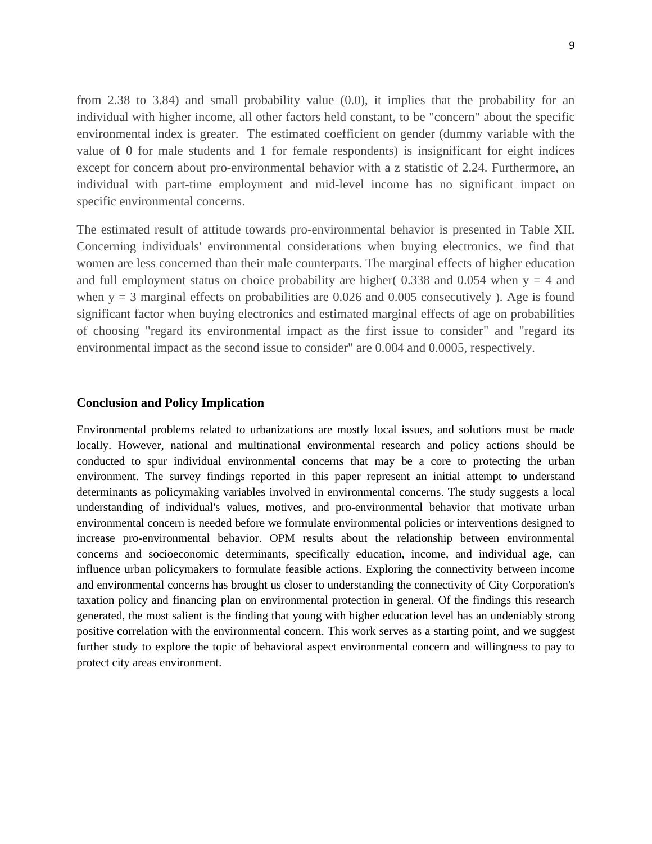from 2.38 to 3.84) and small probability value (0.0), it implies that the probability for an individual with higher income, all other factors held constant, to be "concern" about the specific environmental index is greater. The estimated coefficient on gender (dummy variable with the value of 0 for male students and 1 for female respondents) is insignificant for eight indices except for concern about pro-environmental behavior with a z statistic of 2.24. Furthermore, an individual with part-time employment and mid-level income has no significant impact on specific environmental concerns.

The estimated result of attitude towards pro-environmental behavior is presented in Table XII. Concerning individuals' environmental considerations when buying electronics, we find that women are less concerned than their male counterparts. The marginal effects of higher education and full employment status on choice probability are higher(  $0.338$  and  $0.054$  when y = 4 and when  $y = 3$  marginal effects on probabilities are 0.026 and 0.005 consecutively ). Age is found significant factor when buying electronics and estimated marginal effects of age on probabilities of choosing "regard its environmental impact as the first issue to consider" and "regard its environmental impact as the second issue to consider" are 0.004 and 0.0005, respectively.

#### **Conclusion and Policy Implication**

Environmental problems related to urbanizations are mostly local issues, and solutions must be made locally. However, national and multinational environmental research and policy actions should be conducted to spur individual environmental concerns that may be a core to protecting the urban environment. The survey findings reported in this paper represent an initial attempt to understand determinants as policymaking variables involved in environmental concerns. The study suggests a local understanding of individual's values, motives, and pro-environmental behavior that motivate urban environmental concern is needed before we formulate environmental policies or interventions designed to increase pro-environmental behavior. OPM results about the relationship between environmental concerns and socioeconomic determinants, specifically education, income, and individual age, can influence urban policymakers to formulate feasible actions. Exploring the connectivity between income and environmental concerns has brought us closer to understanding the connectivity of City Corporation's taxation policy and financing plan on environmental protection in general. Of the findings this research generated, the most salient is the finding that young with higher education level has an undeniably strong positive correlation with the environmental concern. This work serves as a starting point, and we suggest further study to explore the topic of behavioral aspect environmental concern and willingness to pay to protect city areas environment.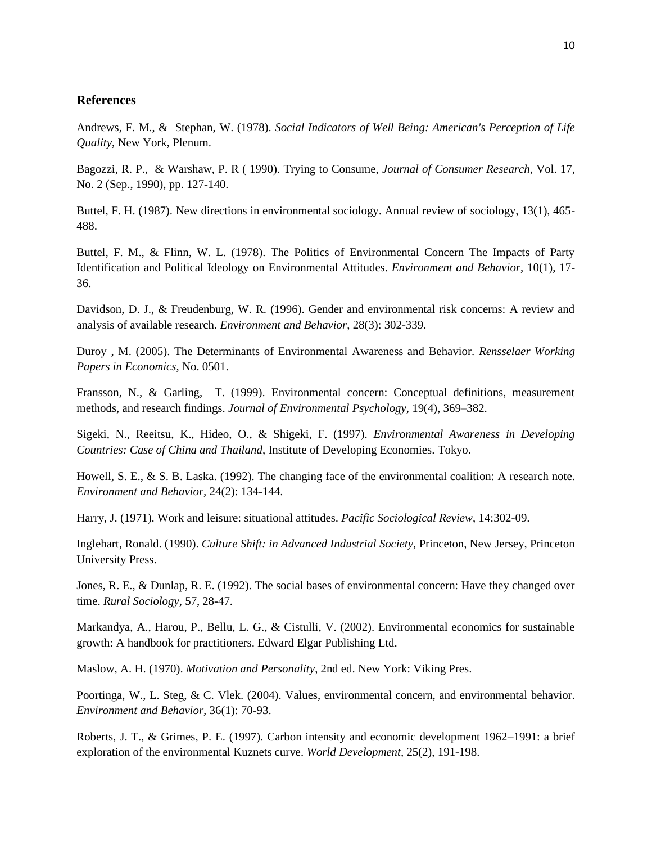### **References**

Andrews, F. M., & Stephan, W. (1978). *Social Indicators of Well Being: American's Perception of Life Quality*, New York, Plenum.

Bagozzi, R. P., & Warshaw, P. R ( 1990). Trying to Consume, *Journal of Consumer Research*, Vol. 17, No. 2 (Sep., 1990), pp. 127-140.

Buttel, F. H. (1987). New directions in environmental sociology. Annual review of sociology, 13(1), 465- 488.

Buttel, F. M., & Flinn, W. L. (1978). The Politics of Environmental Concern The Impacts of Party Identification and Political Ideology on Environmental Attitudes. *Environment and Behavior*, 10(1), 17- 36.

Davidson, D. J., & Freudenburg, W. R. (1996). Gender and environmental risk concerns: A review and analysis of available research. *Environment and Behavior*, 28(3): 302-339.

Duroy , M. (2005). The Determinants of Environmental Awareness and Behavior. *Rensselaer Working Papers in Economics,* No. 0501.

Fransson, N., & Garling, T. (1999). Environmental concern: Conceptual definitions, measurement methods, and research findings. *Journal of Environmental Psychology,* 19(4), 369–382.

Sigeki, N., Reeitsu, K., Hideo, O., & Shigeki, F. (1997). *Environmental Awareness in Developing Countries: Case of China and Thailand*, Institute of Developing Economies. Tokyo.

Howell, S. E., & S. B. Laska. (1992). The changing face of the environmental coalition: A research note. *Environment and Behavior,* 24(2): 134-144.

Harry, J. (1971). Work and leisure: situational attitudes. *Pacific Sociological Review*, 14:302-09.

Inglehart, Ronald. (1990). *Culture Shift: in Advanced Industrial Society,* Princeton, New Jersey, Princeton University Press.

Jones, R. E., & Dunlap, R. E. (1992). The social bases of environmental concern: Have they changed over time. *Rural Sociology,* 57, 28-47.

Markandya, A., Harou, P., Bellu, L. G., & Cistulli, V. (2002). Environmental economics for sustainable growth: A handbook for practitioners. Edward Elgar Publishing Ltd.

Maslow, A. H. (1970). *Motivation and Personality*, 2nd ed. New York: Viking Pres.

Poortinga, W., L. Steg, & C. Vlek. (2004). Values, environmental concern, and environmental behavior. *Environment and Behavior,* 36(1): 70-93.

Roberts, J. T., & Grimes, P. E. (1997). Carbon intensity and economic development 1962–1991: a brief exploration of the environmental Kuznets curve. *World Development,* 25(2), 191-198.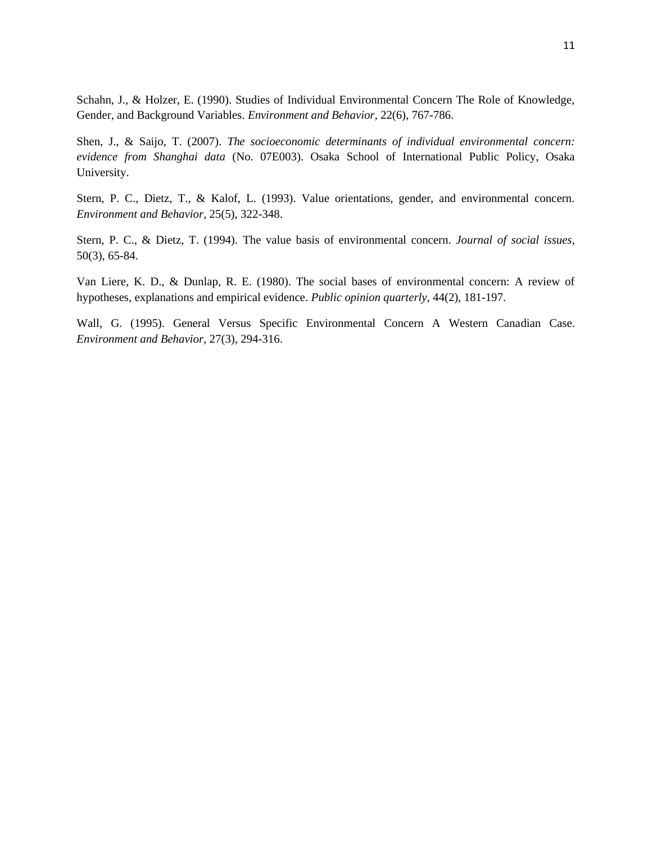Schahn, J., & Holzer, E. (1990). Studies of Individual Environmental Concern The Role of Knowledge, Gender, and Background Variables. *Environment and Behavior,* 22(6), 767-786.

Shen, J., & Saijo, T. (2007). *The socioeconomic determinants of individual environmental concern: evidence from Shanghai data* (No. 07E003). Osaka School of International Public Policy, Osaka University.

Stern, P. C., Dietz, T., & Kalof, L. (1993). Value orientations, gender, and environmental concern. *Environment and Behavior*, 25(5), 322-348.

Stern, P. C., & Dietz, T. (1994). The value basis of environmental concern. *Journal of social issues*, 50(3), 65-84.

Van Liere, K. D., & Dunlap, R. E. (1980). The social bases of environmental concern: A review of hypotheses, explanations and empirical evidence. *Public opinion quarterly,* 44(2), 181-197.

Wall, G. (1995). General Versus Specific Environmental Concern A Western Canadian Case. *Environment and Behavior,* 27(3), 294-316.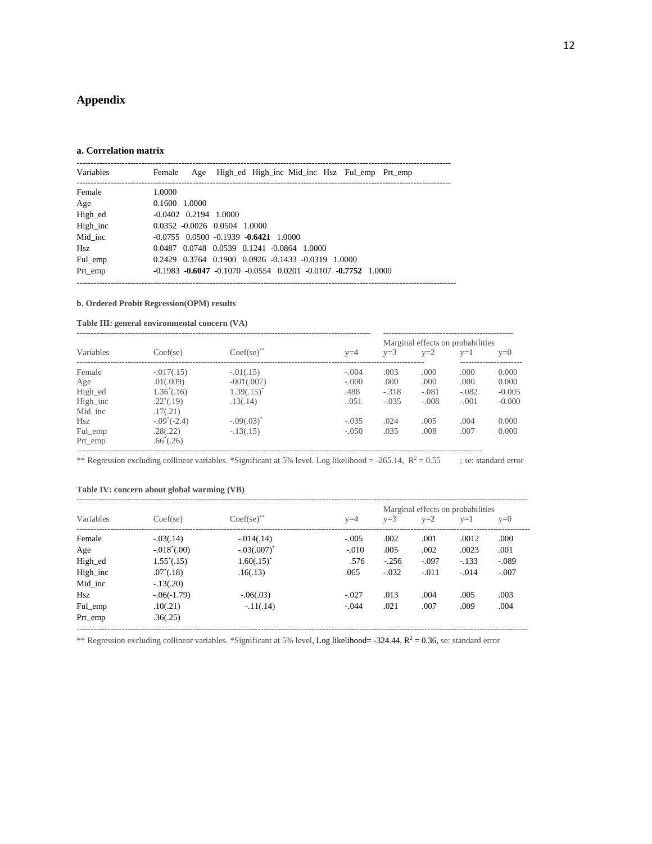# **Appendix**

#### **a. Correlation matrix**

| Variables | Female                       |  |                                                                |  | Age High ed High inc Mid inc Hsz Ful emp Prt emp                              |  |
|-----------|------------------------------|--|----------------------------------------------------------------|--|-------------------------------------------------------------------------------|--|
| Female    | 1.0000                       |  |                                                                |  |                                                                               |  |
| Age       | 0.1600 1.0000                |  |                                                                |  |                                                                               |  |
| High_ed   | $-0.0402$ $0.2194$ 1.0000    |  |                                                                |  |                                                                               |  |
| High inc  | 0.0352 -0.0026 0.0504 1.0000 |  |                                                                |  |                                                                               |  |
| Mid inc   |                              |  | $-0.0755$ 0.0500 $-0.1939$ $-0.6421$ 1.0000                    |  |                                                                               |  |
| Hsz       |                              |  | 0.0487 0.0748 0.0539 0.1241 -0.0864 1.0000                     |  |                                                                               |  |
| Ful emp   |                              |  | $0.2429$ $0.3764$ $0.1900$ $0.0926$ $-0.1433$ $-0.0319$ 1.0000 |  |                                                                               |  |
| Prt_emp   |                              |  |                                                                |  | $-0.1983$ $-0.6047$ $-0.1070$ $-0.0554$ $0.0201$ $-0.0107$ $-0.7752$ $1.0000$ |  |

#### **b. Ordered Probit Regression(OPM) results**

#### **Table III: general environmental concern (VA)**

|           |                      |                 |         | Marginal effects on probabilities |         |         |          |  |  |  |  |
|-----------|----------------------|-----------------|---------|-----------------------------------|---------|---------|----------|--|--|--|--|
| Variables | Coef(se)             | $Coef(se)$ **   | $v=4$   | $v=3$                             | $v=2$   | $v=1$   | $v=0$    |  |  |  |  |
| Female    | $-.017(.15)$         | $-0.01(0.15)$   | $-.004$ | .003                              | .000    | .000.   | 0.000    |  |  |  |  |
| Age       | .01(.009)            | $-001(.007)$    | $-.000$ | .000                              | .000.   | .000.   | 0.000    |  |  |  |  |
| High_ed   | $1.36^*(.16)$        | $1.39(.15)^{*}$ | .488    | $-.318$                           | $-.081$ | $-.082$ | $-0.005$ |  |  |  |  |
| High inc  | $.22^*(.19)$         | .13(.14)        | .051    | $-.035$                           | $-.008$ | $-.001$ | $-0.000$ |  |  |  |  |
| Mid inc   | .17(.21)             |                 |         |                                   |         |         |          |  |  |  |  |
| Hsz       | $-.09^{\circ}(-2.4)$ | $-.09(.03)^*$   | $-.035$ | .024                              | .005    | .004    | 0.000    |  |  |  |  |
| Ful emp   | .28(.22)             | $-.13(.15)$     | $-.050$ | .035                              | .008    | .007    | 0.000    |  |  |  |  |
| Prt emp   | $.66^{\circ}(.26)$   |                 |         |                                   |         |         |          |  |  |  |  |

\*\* Regression excluding collinear variables. \*Significant at 5% level. Log likelihood = -265.14,  $R^2 = 0.55$  ; se: standard error

#### **Table IV: concern about global warming (VB)**

| Variables | Coef(se)       | Coef(se)       | $y=4$   | $v=3$   | $v=2$   | Marginal effects on probabilities<br>$v=1$ | $v=0$   |
|-----------|----------------|----------------|---------|---------|---------|--------------------------------------------|---------|
| Female    | $-.03(.14)$    | $-0.014(0.14)$ | $-.005$ | .002    | .001    | .0012                                      | .000    |
| Age       | $-.018^*(.00)$ | $-.03(.007)^*$ | $-.010$ | .005    | .002    | .0023                                      | .001    |
| High_ed   | $1.55^*(.15)$  | $1.60(.15)^*$  | .576    | $-.256$ | $-.097$ | $-.133$                                    | $-.089$ |
| High_inc  | $.07^*(.18)$   | .16(.13)       | .065    | $-.032$ | $-.011$ | $-.014$                                    | $-.007$ |
| Mid inc   | $-13(.20)$     |                |         |         |         |                                            |         |
| Hsz       | $-0.06(-1.79)$ | $-0.06(0.03)$  | $-.027$ | .013    | .004    | .005                                       | .003    |
| Ful emp   | .10(.21)       | $-11(.14)$     | $-.044$ | .021    | .007    | .009                                       | .004    |
| Prt_emp   | .36(.25)       |                |         |         |         |                                            |         |

---------------------------------------------------------------------------------------------------------------------------------------------------------------

\*\* Regression excluding collinear variables. \*Significant at 5% level, Log likelihood=  $-324.44$ ,  $R^2 = 0.36$ , se: standard error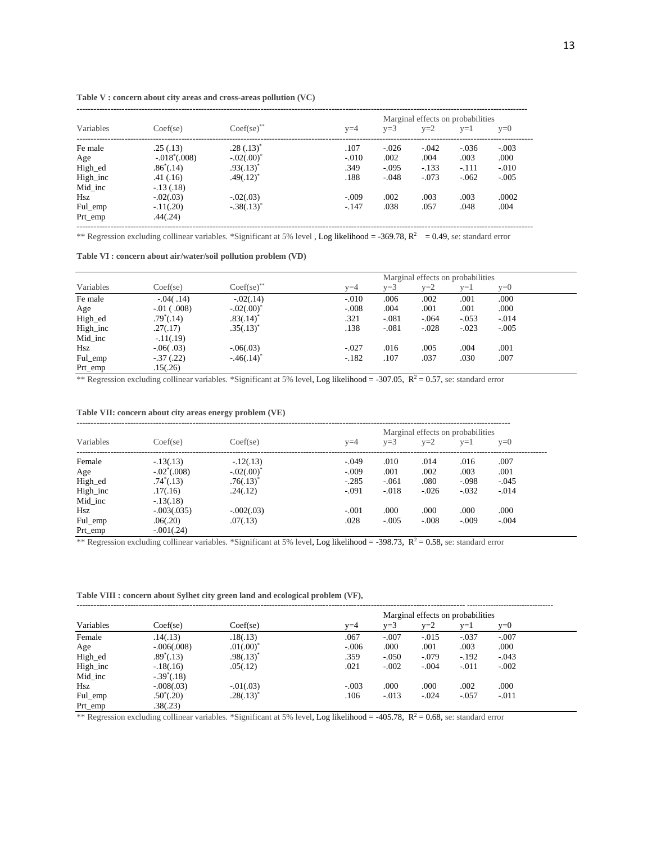|           |                    |               |         |         | Marginal effects on probabilities |         |         |
|-----------|--------------------|---------------|---------|---------|-----------------------------------|---------|---------|
| Variables | Coef(se)           | Coef(se)      | $v=4$   | $v=3$   | $v=2$                             | $v=1$   | $v=0$   |
| Fe male   | .25(.13)           | $.28(.13)^*$  | .107    | $-.026$ | $-.042$                           | $-.036$ | $-.003$ |
| Age       | $-.018^*(.008)$    | $-.02(.00)^*$ | $-.010$ | .002    | .004                              | .003    | .000    |
| High ed   | $.86^{\circ}(.14)$ | $.93(.13)^*$  | .349    | $-.095$ | $-.133$                           | $-.111$ | $-.010$ |
| High inc  | .41(.16)           | $.49(.12)^*$  | .188    | $-.048$ | $-.073$                           | $-.062$ | $-.005$ |
| Mid inc   | $-13(0.18)$        |               |         |         |                                   |         |         |
| Hsz       | $-.02(.03)$        | $-.02(.03)$   | $-.009$ | .002    | .003                              | .003    | .0002   |
| Ful emp   | $-11(.20)$         | $-.38(.13)^*$ | $-.147$ | .038    | .057                              | .048    | .004    |
| Prt emp   | .44(.24)           |               |         |         |                                   |         |         |

#### **Table V : concern about city areas and cross-areas pollution (VC)**

\*\* Regression excluding collinear variables. \*Significant at 5% level , Log likelihood =  $-369.78$ ,  $\overline{R}^2 = 0.49$ , se: standard error

#### **Table VI : concern about air/water/soil pollution problem (VD)**

| Marginal effects on probabilities |                    |                |         |         |         |         |         |  |
|-----------------------------------|--------------------|----------------|---------|---------|---------|---------|---------|--|
| Variables                         | Coef(se)           | $Coef(se)$ **  | v=4     | $v=3$   | $v=2$   | $v=1$   | $v=0$   |  |
| Fe male                           | $-0.04(0.14)$      | $-0.02(0.14)$  | $-.010$ | .006    | .002    | .001    | .000    |  |
| Age                               | $-0.01$ (.008)     | $-.02(.00)^*$  | $-.008$ | .004    | .001    | .001    | .000    |  |
| High_ed                           | $.79^{\circ}(.14)$ | $.83(.14)^*$   | .321    | $-.081$ | $-.064$ | $-.053$ | $-.014$ |  |
| High inc                          | .27(.17)           | $.35(.13)^{*}$ | .138    | $-.081$ | $-.028$ | $-.023$ | $-.005$ |  |
| Mid inc                           | $-11(0.19)$        |                |         |         |         |         |         |  |
| Hsz                               | $-0.06(0.03)$      | $-0.06(0.03)$  | $-.027$ | .016    | .005    | .004    | .001    |  |
| Ful_emp                           | $-.37(.22)$        | $-46(.14)^*$   | $-.182$ | .107    | .037    | .030    | .007    |  |
| Prt_emp                           | .15(.26)           |                |         |         |         |         |         |  |

\*\* Regression excluding collinear variables. \*Significant at 5% level, Log likelihood = -307.05,  $R^2 = 0.57$ , se: standard error

#### **Table VII: concern about city areas energy problem (VE)**

|           |                |               |         |         | Marginal effects on probabilities |         |         |
|-----------|----------------|---------------|---------|---------|-----------------------------------|---------|---------|
| Variables | Coef(se)       | Coef(se)      | $v=4$   | $v=3$   | $v=2$                             | $v=1$   | $v=0$   |
| Female    | $-13(0.13)$    | $-12(.13)$    | $-.049$ | .010    | .014                              | .016    | .007    |
| Age       | $-.02^*(.008)$ | $-.02(.00)^*$ | $-.009$ | .001    | .002                              | .003    | .001    |
| High_ed   | $.74^*(.13)$   | $.76(.13)^*$  | $-.285$ | $-.061$ | .080                              | $-.098$ | $-.045$ |
| High inc  | .17(.16)       | .24(.12)      | $-.091$ | $-.018$ | $-.026$                           | $-.032$ | $-.014$ |
| Mid inc   | $-13(0.18)$    |               |         |         |                                   |         |         |
| Hsz       | $-.003(.035)$  | $-.002(.03)$  | $-.001$ | .000.   | .000                              | .000    | .000    |
| Ful emp   | .06(.20)       | .07(.13)      | .028    | $-.005$ | $-.008$                           | $-.009$ | $-.004$ |
| Prt_emp   | $-.001(.24)$   |               |         |         |                                   |         |         |

\*\* Regression excluding collinear variables. \*Significant at 5% level, Log likelihood = -398.73,  $R^2 = 0.58$ , se: standard error

**Table VIII : concern about Sylhet city green land and ecological problem (VF),**

|           |                     |                |         |         |         | Marginal effects on probabilities<br>$v=1$<br>$v=0$<br>$-.037$<br>$-.007$<br>.000<br>.003<br>$-192$<br>$-.043$ |         |  |  |
|-----------|---------------------|----------------|---------|---------|---------|----------------------------------------------------------------------------------------------------------------|---------|--|--|
|           |                     |                |         |         |         |                                                                                                                |         |  |  |
| Variables | Coef(se)            | Coef(se)       | $v=4$   | $y=3$   | $v=2$   |                                                                                                                |         |  |  |
| Female    | .14(.13)            | .18(.13)       | .067    | $-.007$ | $-.015$ |                                                                                                                |         |  |  |
| Age       | $-.006(.008)$       | $.01(.00)^*$   | $-.006$ | .000    | .001    |                                                                                                                |         |  |  |
| High_ed   | $.89^{\circ}(.13)$  | $.98(.13)^{*}$ | .359    | $-.050$ | $-.079$ |                                                                                                                |         |  |  |
| High inc  | $-18(0.16)$         | .05(.12)       | .021    | $-.002$ | $-.004$ | $-.011$                                                                                                        | $-.002$ |  |  |
| Mid inc   | $-.39^{\circ}(.18)$ |                |         |         |         |                                                                                                                |         |  |  |
| Hsz       | $-.008(.03)$        | $-0.01(0.03)$  | $-.003$ | .000    | .000    | .002                                                                                                           | .000    |  |  |
| Ful_emp   | $.50^{\circ}(.20)$  | $.28(.13)^*$   | .106    | $-.013$ | $-.024$ | $-.057$                                                                                                        | $-.011$ |  |  |
| Prt emp   | .38(.23)            |                |         |         |         |                                                                                                                |         |  |  |

\*\* Regression excluding collinear variables. \*Significant at 5% level, Log likelihood = -405.78,  $R^2 = 0.68$ , se: standard error